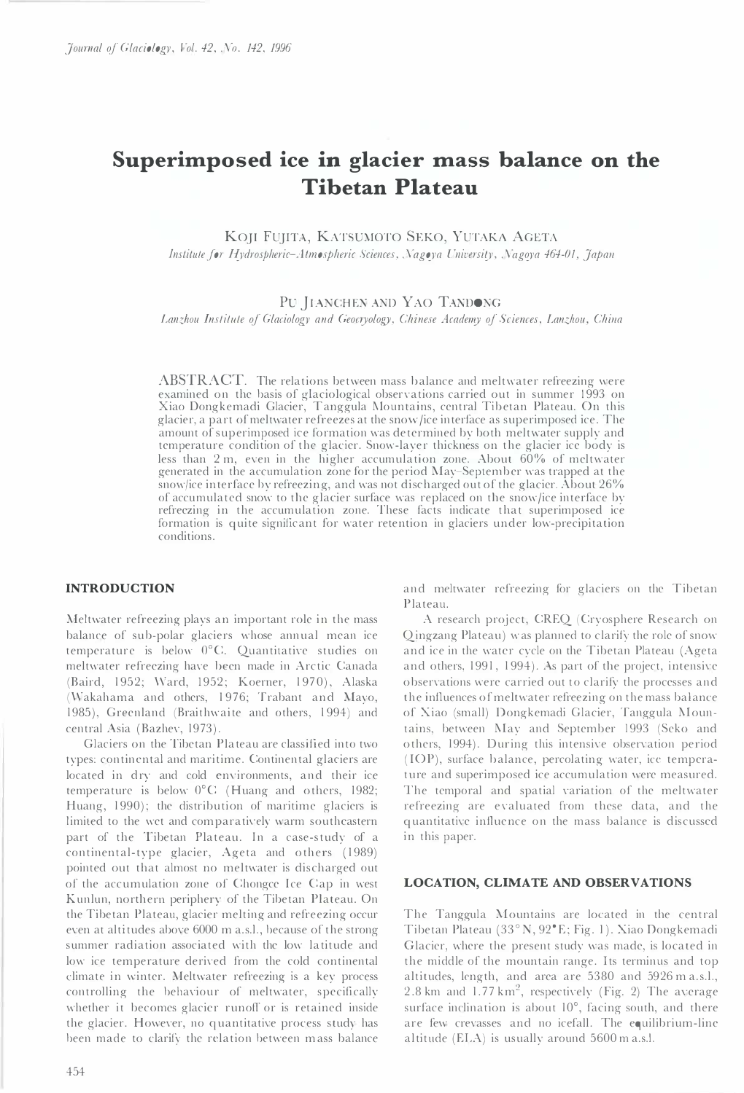# Superimposed ice in glacier mass balance on the Tibetan Plateau

KO]I FU]ITA, KATSUMOTO SEKO, YUTAKA ACETA Institute for Hydrospheric-Atmospheric Sciences, Nagoya University, Nagoya 464-01, Japan

# PU JIANCHEN AND YAO TANDONG

Lanzhou Institute of Glaciology and Geocryology, Chinese Academy of Sciences, Lanzhou, China

ABSTRACT. The relations between mass balance and meltwater refreezing were examined on the basis of glaciological observations carried out in summer 1993 on Xiao Dongkemadi Glacier, T anggula Mountains, central Tib etan Plateau. On this glacier, a part of meltwater refreezes at the snow/ice interface as superimposed ice. The amount of superimposed ice formation was determined by both meltwater supply and temperature condition of the glacier. Snow-layer thickness on the glacier ice body is less than  $2 \text{ m}$ , even in the higher accumulation zone. About  $60\%$  of meltwater generated in the accumulation zone for the period May-September was trapped at the snow/ice interface by refreezing, and was not discharged out of the glacier. About 26% of accumulated snow to the glacier surface was replaced on the snow/ice interface by refreezing in the accumulation zone. These facts indicate that superimposed ice formation is quite significant for water retention in glaciers under low-precipitation conditions.

#### INTRODUCTION

Meltwater refreezing plays an important role in the mass balance of sub-polar glaciers whose annual mean ice temperature is below O°C. Quantitative studies on meltwater refreezing have been made in Arctic Canada (Baird, 1952; Ward, 1952; Koerner, 1970), Alaska (Wakahama and others, 1976; Trabant and Mayo, 1985), Greenland (Braithwaite and others, 1994) and central Asia (Bazhev, 1973).

Glaciers on the Tibetan Plateau are classified into two types: continental and maritime. Continental glaciers are located in dry and cold environments, and their ice temperature is below  $0^{\circ}$ C (Huang and others, 1982; Huang, 1990); the distribution of maritime glaciers is limited to the wet and comparatively warm southeastern part of the Tibetan Plateau. In a case-study of a continental-type glacier, Ageta and others (1989) pointed out that almost no meltwater is discharged out of the accumulation zone of Chongce Ice Cap in west Kunlun, northern periphery of the Tibetan Plateau. On the Tibetan Plateau, glacier melting and refreezing occur even at altitudes above 6000 m a.s.l., because of the strong summer radiation associated with the low latitude and low ice temperature derived from the cold continental climate in winter. Meltwater refreezing is a key process controlling the behaviour of meltwater, specifically whether it becomes glacier runoff or is retained inside the glacier. However, no quantitative process study has been made to clarify the relation between m ass balance and meltwater refreezing for glaciers on the Tibetan Plateau.

A research project, CREQ (Cryosphere Research on Qingzang Plateau) was planned to clarify the role of snow and ice in the water cycle on the Tibetan Plateau (Ageta and others, 1991, 1994). As part of the project, intensive observations were carried out to clarify the processes and the influences of meltwater refreezing on the mass balance of Xiao (small) Dongkemadi Glacier, Tanggula Mountains, between May and September 1993 (Seko and others, 1994). During this intensive observation period (IOP), surface balance, percolating water, ice temperature and superimposed ice accumulation were measured. The temporal and spatial variation of the meltwater refreezing are evaluated from these data, and the quantitative influence on the mass balance is discussed in this paper.

#### LOCATION, CLIMATE AND OBSERVATIONS

The Tanggula Mountains are located in the central Tibetan Plateau (33°N, 92°E; Fig. 1). Xiao Dongkemadi Glacier, where the present study was made, is located in the middle of the mountain range. Its terminus and top altitudes, length, and area are 5380 and 5926 m a.s.l., 2.8 km and  $1.77 \text{ km}^2$ , respectively (Fig. 2) The average surface inclination is about  $10^{\circ}$ , facing south, and there are few crevasses and no icefall. The equilibrium-line altitude (ELA) is usually around 5600 m a.s.!.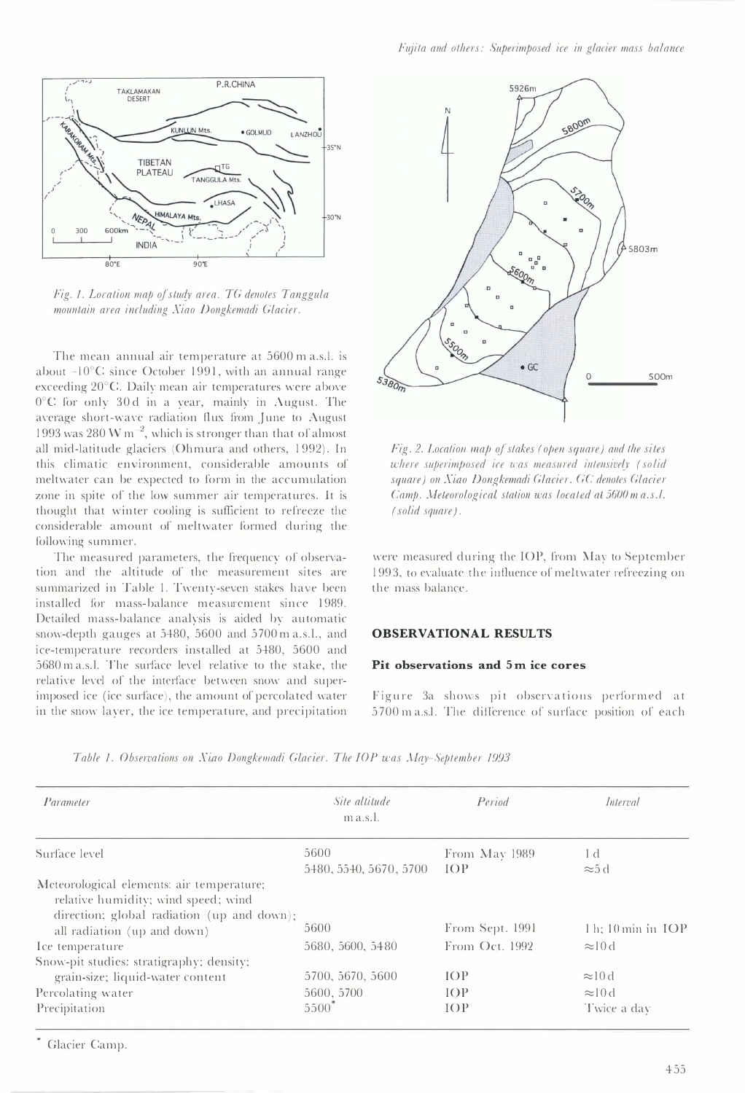

Fig. 1. Location map of study area. TG denotes Tanggula mountain area including Xiao Dongkemadi Glacier.

The mean annual air temperature at 5600 m a.s.l. is about  $-10^{\circ}$ C since October 1991, with an annual range exceeding 20°C. Daily mean air temperatures were above  $0^{\circ}$ C for only 30d in a year, mainly in August. The average short-wave radiation flux from June to August 1993 was 280 W  $\mathrm{m}^{-2}$ , which is stronger than that of almost all mid-latitude glaciers (Ohmura and others, 1992). In this climatic enyironment, considerable amounts of meltwater can be expected to form in the accumulation zone in spite of the low summer air temperatures. It is thought that winter cooling is sufficient to refreeze the considerable amount of meltwater formed during the following summer.

The measured parameters, the frequency of observation and the altitude of the measurement sites are summarized in Table I. Twenty-seven stakes have been installed for mass-balance measurement since 1989. Detailed mass-balance analysis is aided by automatic snow-depth gauges at 5480, 5600 and 5700 m a.s.l., and ice-temperature recorders installed at 5480, 5600 and 5680 m a.s.l. The surface level relative to the stake, the relative level of the interface between snow and superimposed ice (ice surface), the amount of percolated water in the snow layer, the ice temperature, and precipitation



Fig. 2. Location map of stakes (open square) and the sites where superimposed ice was measured intensively (solid square) on Xiao Dongkemadi Glacier. GC denotes Glacier Camp. Meteorological station was located at 5600 m a.s.l. (solid square).

were measured during the IOP, from May to September 1993, to evaluate the influence of meltwater refreezing on the mass balance.

# OBSERVATIONAL RESULTS

#### Pit observations and 5m ice cores

Figure 3a shows pit observations performed at 5700 m a.s.1. The difference of surface position of each

| Parameter                                                                                                                      | Site altitude<br>$m$ a.s.l. | Period          | Interval                  |
|--------------------------------------------------------------------------------------------------------------------------------|-----------------------------|-----------------|---------------------------|
| Surface level                                                                                                                  | 5600                        | From May 1989   | 1 d                       |
|                                                                                                                                | 5480, 5540, 5670, 5700      | IOP             | $\approx 5$ d             |
| Meteorological elements: air temperature;<br>relative humidity; wind speed; wind<br>direction; global radiation (up and down); |                             |                 |                           |
| all radiation (up and down)                                                                                                    | 5600                        | From Sept. 1991 | $1 h$ ; $10 min$ in $IOP$ |
| Ice temperature                                                                                                                | 5680, 5600, 5480            | From Oct. 1992  | $\approx 10d$             |
| Snow-pit studies: stratigraphy; density;                                                                                       |                             |                 |                           |
| grain-size; liquid-water content                                                                                               | 5700, 5670, 5600            | IOP             | $\approx 10d$             |
| Percolating water                                                                                                              | 5600, 5700                  | IOP             | $\approx 10d$             |
| Precipitation                                                                                                                  | $5500^{\degree}$            | IOP             | Twice a day               |

Table 1. Observations on Xiao Dongkemadi Glacier. The IOP was May-September 1993

• Glacier Camp.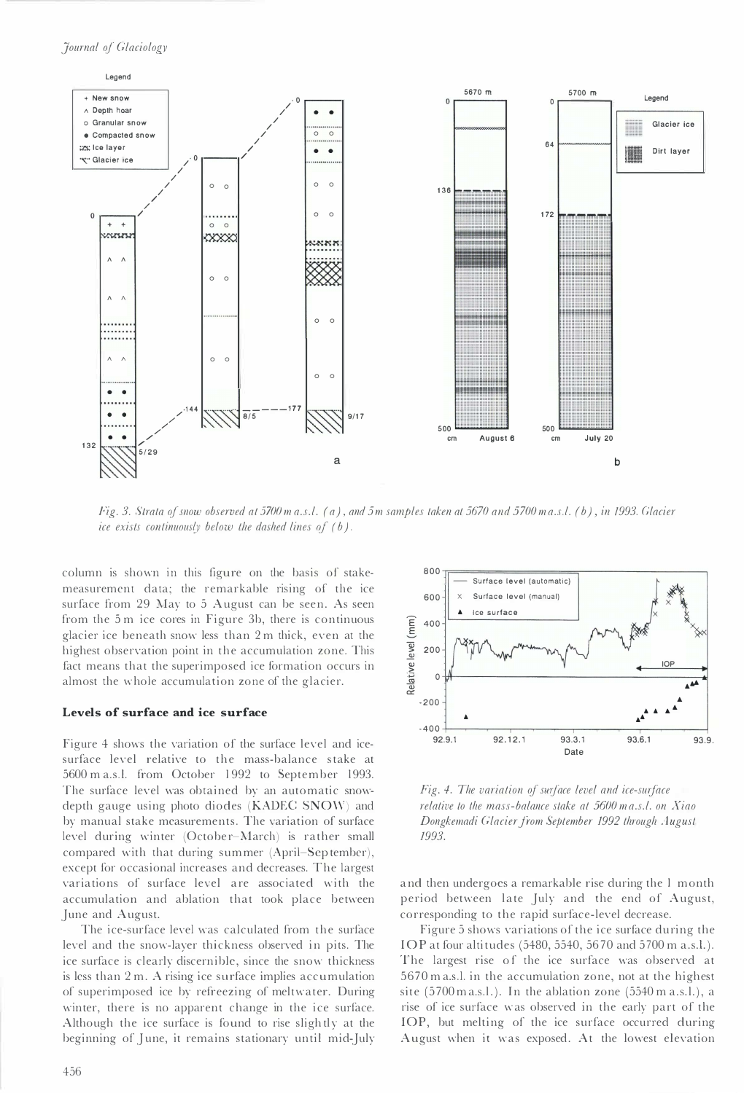

Fig. 3. Strata of snow observed at 5700 m a.s.l. (a), and 5 m samples taken at 5670 and 5700 m a.s.l. (b), in 1993. Glacier ice exists continuously below the dashed lines of  $(b)$ .

column is shown in this figure on the basis of stakemeasurement data; the remarkable rising of the ice surface from 29 May to 5 August can be seen. As seen from the 5 m ice cores in Figure 3b, there is continuous glacier ice beneath snow less than 2 m thick, even at the highest observation point in the accumulation zone. This fact means that the superimposed ice formation occurs in almost the w hole accumulation zone of the glacier.

#### Levels of surface and ice surface

Figure 4 shows the variation of the surface level and icesurface level relative to the mass-balance stake at 5600 m a.s.l. from October 1992 to September 1993. The surface level was obtained by an automatic snowdepth gauge using photo diodes (KADEC SNOW) and by manual stake measurements. The variation of surface level during winter (October-March) is rather small compared with that during summer (April-Sep tember), except for occasional increases and decreases. The largest variations of surface level are associated with the accumulation and ablation that took place between June and August.

The ice-surface level was calculated from the surface level and the snow-layer thickness observed in pits. The ice surface is clearly discernible, since the snow thickness is less than 2 m. A rising ice surface implies accumulation of superimposed ice by refreezing of meltwater. During winter, there is no apparent change in the ice surface. Although the ice surface is found to rise sligh tly at the beginning of June, it remains stationary until mid-July



Fig. 4. The variation of surface level and ice-surface relative to the mass-balance stake at 5600 m a.s.l. on Xiao Dongkemadi Glacier from September 1992 through August 1993.

a nd then undergoes a remarkable rise during the I month p eriod between late July and the end of August, corresponding to the rapid surface-level decrease.

Figure 5 shows variations of the ice surface during the lOP at four altitudes (5480, 5540, 5670 and 5700 m a . s.l.). The largest rise of the ice surface was observed at 5 670 m a.s.l. in the accumulation zone, not at the highest site (5700 m a.s.l.). In the ablation zone (5540 m a.s.l.), a rise of ice surface was observed in the early part of the lOP, but melting of the ice surface occurred during August when it was exposed. At the lowest elevation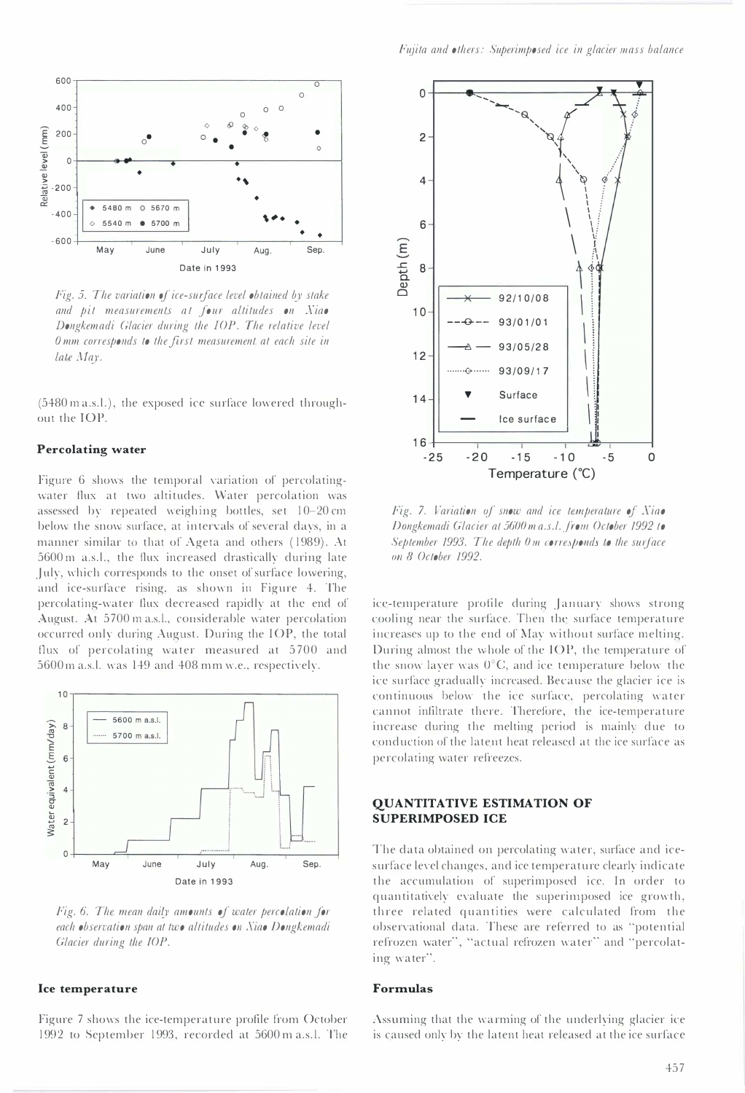

Fig. 5. The variation of ice-surface level obtained by stake and pit measurements at jour altitudes on Xiao Dongkemadi Glacier during the lOP. The relative level Omm corresponds to the first measurement at each site in late May.

(5480 m a.s.l.), the exposed ice surface lowered throughout the lOP.

## Percolating water

Figure 6 shows the temporal variation of percolatingwater flux at two altitudes. Water percolation was assessed by repeated weighing bottles, set  $10-20$  cm below the snow surface, at intervals of several days, in a manner similar to that of Ageta and others ( 1989). At 5600 m a.s.!., the flux increased drastically during late July, which corresponds to the onset of surface lowering, and ice-surface rising, as shown in Figure 4. The percolating-water flux decreased rapidly at the end of August. At 5700 m a.s.l., considerable water percolation occurred only during August. During the lOP, the total flux of percolating water measured at 5700 and 5600 m a.s.!. was 149 and 408 mm w.e., respectively.



Fig. 6. The mean daily amounts of water percolation for each observation span at two altitudes on Xiao Dongkemadi Glacier during the IOP.

#### Ice temperature

Figure 7 shows the ice-temperature profile from October 1992 to September 1993, recorded at 5600 m a.s.!. The



Fig. 7. Variation of snow and ice temperature of Xiao Dongkemadi Glacier at 5600 m a.s.l. from October 1992 to September 1993. The depth  $0 \text{ m}$  corresponds to the surface 011 8 October 1992.

ice-temperature profile during January shows strong cooling near the surface. Then the surface temperature increases up to the end of May without surface melting. During almost the whole of the lOP, the temperature of the snow layer was  $0^{\circ}C$ , and ice temperature below the ice surface gradually increased. Because the glacier ice is continuous below the ice surface, percolating water cannot infiltrate there. Therefore, the ice-temperature increase during the melting period is mainly due to conduction of the latent heat released at the ice surface as percolating water refreezes.

## QUANTITATIVE ESTIMATION OF SUPERIMPOSED ICE

The data obtained on percolating water, surface and icesurface level changes, and ice temperature clearly indicate the accumulation of superimposed ice. In order to quantitatively evaluate the superimposed ice growth, three related quantities were calculated from the observational data. These are referred to as "potential refrozen water", "actual refrozen water" and "percolating water".

## Formulas

Assuming that the warming of the underlying glacier ice is caused only by the latent heat released at the ice surface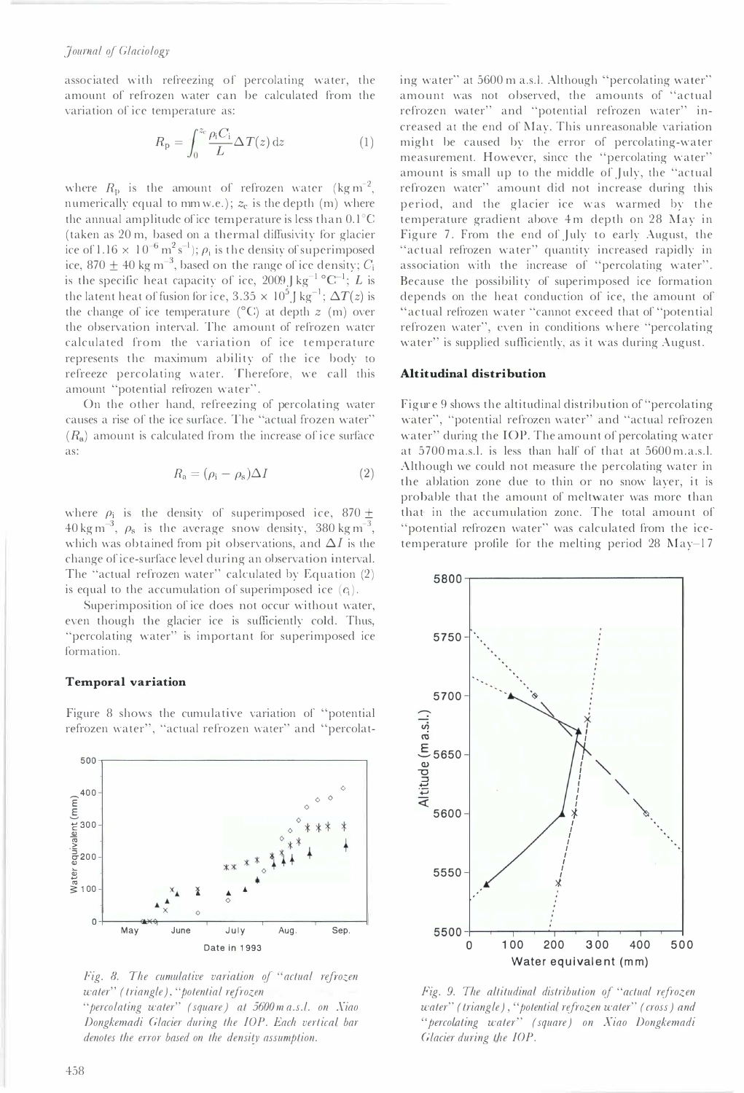associated with refreezing of percolating water, the amount of refrozen water can be calculated from the variation of ice temperature as:

$$
R_{\rm p} = \int_0^{z_{\rm c}} \frac{\rho_{\rm i} C_{\rm i}}{L} \Delta T(z) \,\mathrm{d}z \tag{1}
$$

where  $R_{\rm p}$  is the amount of refrozen water (kg m<sup>-2</sup>, numerically equal to mm w.e.);  $z_c$  is the depth (m) where the annual amplitude of ice temperature is less than  $0.1^{\circ}$ C (taken as 20 m, based on a thermal diffusivity for glacier ice of  $1.16 \times 10^{-6} \,\mathrm{m^2 \, s^{-1}}$ );  $\rho_\mathrm{i}$  is the density of superimposed ice, 870  $\pm$  40 kg m<sup>-3</sup>, based on the range of ice density;  $C_i$ is the specific heat capacity of ice,  $2009 \text{ J kg}^{-1} \text{°C}^{-1}$ ;  $L$  is the latent heat of fusion for ice, 3.35  $\times$  10<sup>5</sup> J kg<sup>-1</sup>;  $\Delta T(z)$  is the change of ice temperature ( $^{\circ}$ C) at depth z (m) over the observation interval. The amount of refrozen water calculated from the variation of ice temperature represents the maximum ability of the ice body to refreeze percolating water. Therefore, we call this amount "potential refrozen water".

On the other hand, refreezing of percolating water causes a rise of the ice surface. The "actual frozen water"  $(R_a)$  amount is calculated from the increase of ice surface as:

$$
R_{\rm a} = (\rho_{\rm i} - \rho_{\rm s})\Delta I \tag{2}
$$

where  $\rho_i$  is the density of superimposed ice, 870  $\pm$  $40 \text{ kg m}^{-3}$ ,  $\rho_s$  is the average snow density, 380 kg m<sup>-3</sup>, which was obtained from pit observations, and  $\Delta I$  is the change of ice-surface level during an observation interval. The "actual refrozen water" calculated by Equation (2) is equal to the accumulation of superimposed ice  $(c_i)$ . i

Superimposition of ice does not occur without water, even though the glacier ice is sufficiently cold. Thus, "percolating water" is important for superimposed ice formation.

## Temporal variation

Figure 8 shows the cumulative variation of "potential refrozen water", "actual refrozen water" and "percolat-



Fig. 8. The cumulative variation of "actual refrozen water" (triangle), "potential refrozen water water" (cross) and Fig. 9. The altitudinal distribution of "actual refrozen "percolating water" (square) at 5600 m a.s.l. on Xiao

Dongkemadi Glacier during the lOP. Each vertical bar denotes the error based on the density assumption.

ing water" at 5600 m a.s.l. Although "percolating water" amount was not observed, the amounts of "actual refrozen water" and "potential refrozen water" increased at the end of May. This unreasonable variation might be caused by the error of percolating-water measurement. However, since the "percolating water" amount is small up to the middle of July, the "actual refrozen water" amount did not increase during this period, and the glacier ice was warmed by the temperature gradient above 4 m depth on 28 May in Figure 7. From the end of July to early August, the "actual refrozen water" quantity increased rapidly in association with the increase of "percolating water". Because the possibility of superimposed ice formation depends on the heat conduction of ice, the amount of "actual refrozen water "cannot exceed that of "potential refrozen water", even in conditions where "percolating water" is supplied sufficiently, as it was during August.

#### Altitudinal distribution

Figure 9 shows the altitudinal distribution of "percolating water", "potential refrozen water" and "actual refrozen water" during the IOP. The amount of percolating water at 5700 m a.s.l. is less than half of that at 5600 m.a.s.l. Although we could not measure the percolating water in the ablation zone due to thin or no snow layer, it is probable that the amount of meltwater was more than that in the accumulation zone. The total amount of "potential refrozen water" was calculated from the icetemperature profile for the melting period 28 May-17 al refrozen water" quantity increased rapidly in<br>tation with the increase of "percolating water".<br>see the possibility of superimposed ice formation<br>ds on the heat conduction of ice, the amount of<br>al refrozen water "cannot



water" (triangle), "potential refrozen water" (cross) and "percolating water" (square) on Xiao Dongkemadi Glacier during the lOP.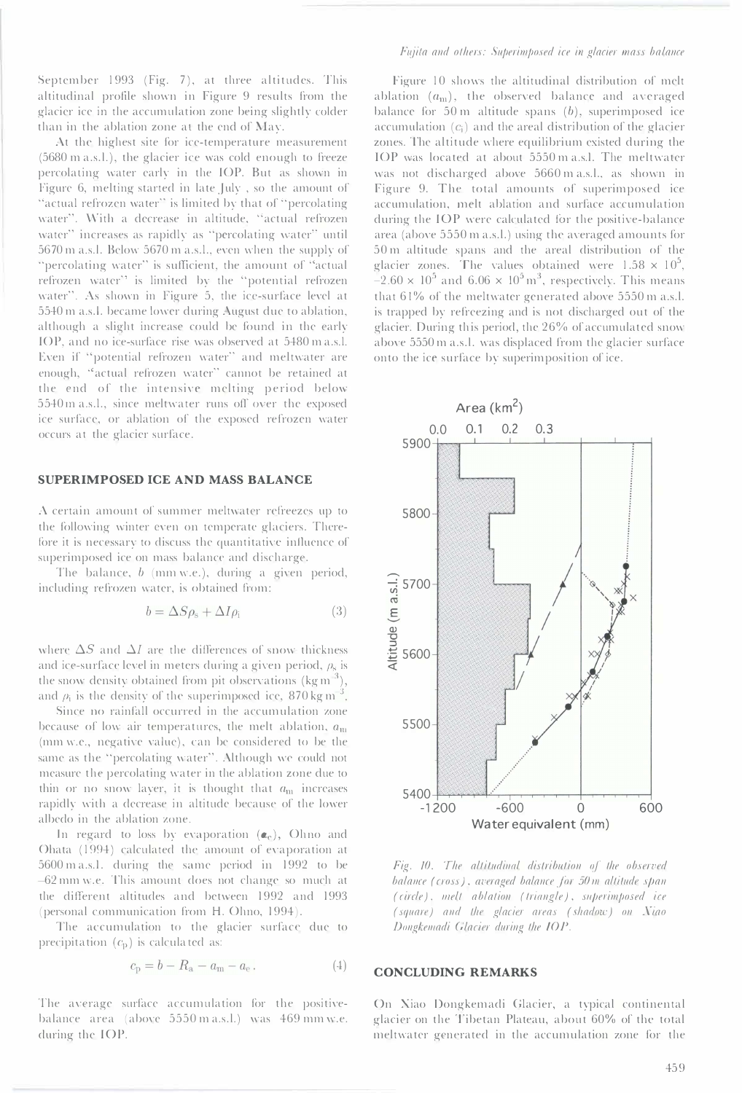September 1993 (Fig. 7), at three altitudes. This altitudinal profile shown in Figure 9 results from the glacier ice in the accumulation zone being slightly colder than in the ablation zone at the end of  $\text{Mav.}$ 

At the highest site for ice-temperature measurement (5680 m a.s.l.), the glacier ice was cold enough to freeze percolating water early in the lOP. But as shown in Figure 6, melting started in late July , so the amount of "actual refrozen water" is limited by that of "percolating water". With a decrease in altitude, "actual refrozen water" increases as rapidly as "percolating water" until  $5670$  m a.s.l. Below  $5670$  m a.s.l., even when the supply of "percolating water" is sufficient, the amount of "actual refrozen water" is limited by the "potential refrozen water". As shown in Figure 5, the ice-surface level at 5540 m a.s.l. became lower during August due to ablation, although a slight increase could be found in the early lOP, and no ice-surface rise was obsen'ed at 5480 m a.s.1. Even if "potential refrozen water" and meltwater are enough, "actual refrozen water" cannot be retained at the end of the intensive melting period below 5540 m a.s.l., since meltwater runs off over the exposed ice surface, or ablation of the exposed refrozen water occurs at the glacier surface.

## SUPERIMPOSED ICE AND MASS BALANCE

A certain amount of summer meltwater refreezes up to the following winter even on temperate glaciers. Therefore it is necessary to discuss the quantitative influence of superimposed ice on mass balance and discharge.

The balance,  $b$  (mm w.e.), during a given period, including refrozen water, is obtained from:

$$
b = \Delta S \rho_{\rm s} + \Delta I \rho_{\rm i} \tag{3}
$$

where  $\Delta S$  and  $\Delta I$  are the differences of snow thickness and ice-surface level in meters during a given period,  $\rho_s$  is the snow density obtained from pit observations (kg m<sup>-3</sup>), and  $\rho_i$  is the density of the superimposed ice, 870 kg m<sup>-3</sup>

Since no rainfall occurred in the accumulation zone because of low air temperatures, the melt ablation,  $a<sub>m</sub>$ (mm w.e., negative value), can be considered to be the same as the "percolating water". Although we could not measure the percolating water in the ablation zone due to thin or no snow layer, it is thought that  $a_{\rm m}$  increases rapidly with a decrease in altitude because of the lower albedo in the ablation zone.

In regard to loss by evaporation  $(a_e)$ , Ohno and Ohata (1994) calculated the amount of evaporation at 5600 m a.s.1. during the same period in 1992 to be 62 mm w.e. This amount does not change so much at the different altitudes and between 1992 and 1993 (personal communication from H. Ohno, 1994).

The accumulation to the glacier surface due to precipitation  $(c_p)$  is calculated as:

$$
c_{\rm p} = b - R_{\rm a} - a_{\rm m} - a_{\rm e} \,. \tag{4}
$$

The average surface accumulation for the positivebalance area (above  $5550 \text{ m a.s.l.}$ ) was  $469 \text{ mm}$  w.e. during the lOP.

Figure 10 shows the altitudinal distribution of melt ablation  $(a_m)$ , the observed balance and averaged balance for  $50 \text{ m}$  altitude spans  $(b)$ , superimposed ice accumulation  $(c<sub>i</sub>)$  and the areal distribution of the glacier zones. The altitude where equilibrium existed during the lOP was located at about 5550 m a.s.1. The meltwater was not discharged above 5660 m a.s.l., as shown in Figure 9. The total amounts of superimposed ice accumulation, melt ablation and surface accumulation during the lOP were calculated for the positive-balance area (above 5550 m a.s.l.) using the averaged amounts for 50 m altitude spans and the areal distribution of the glacier zones. The values obtained were  $1.58 \times 10^5$ ,  $-2.60 \times 10^5$  and  $6.06 \times 10^5$  m<sup>3</sup>, respectively. This means that  $61\%$  of the meltwater generated above  $5550$  m a.s.l. is trapped by refreezing and is not discharged out of the glacier. During this period, the 26% of accumulated snow above 5550 m a.s.l. was displaced from the glacier surface onto the ice surface by superimposition of ice.



Fig. 10. The altitudinal distribution of the observed balance (cross), averaged balance for 50 m altitude span  $(circle)$ , melt ablation  $(triangle)$ , superimposed ice (square) and the glacier areas (shadow) on Xiao Dongkemadi Glacier during the IOP.

## CONCLUDING REMARKS

On Xiao Dongkemadi Glacier, a typical continental glacier on the Tibetan Plateau, about 60% of the total meltwater generated in the accumulation zone for the